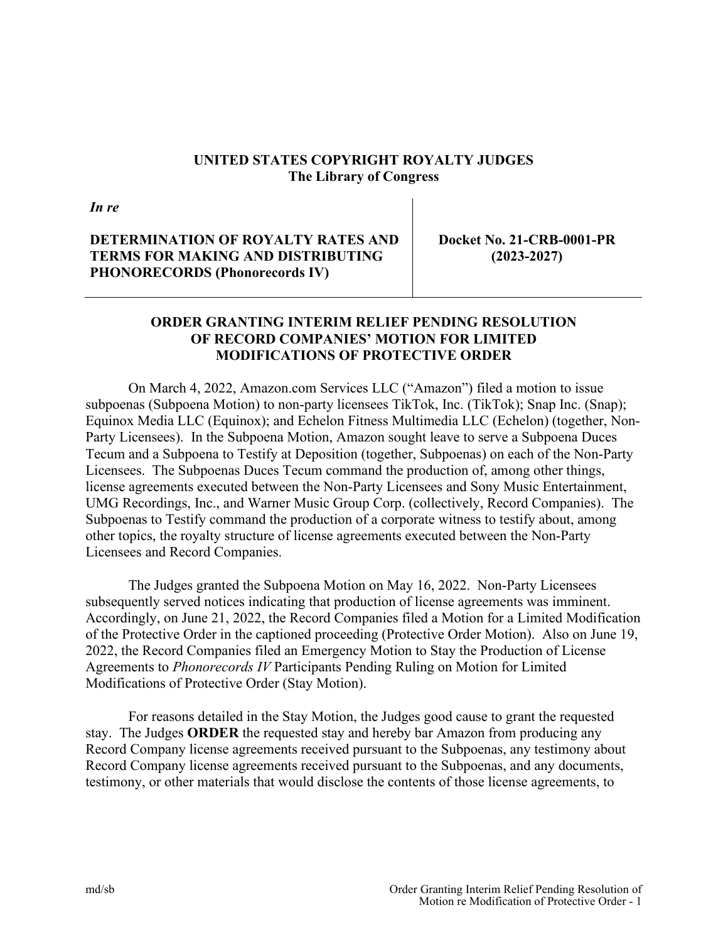## **UNITED STATES COPYRIGHT ROYALTY JUDGES The Library of Congress**

*In re*

**DETERMINATION OF ROYALTY RATES AND TERMS FOR MAKING AND DISTRIBUTING PHONORECORDS (Phonorecords IV)** 

**Docket No. 21-CRB-0001-PR (2023-2027)**

## **ORDER GRANTING INTERIM RELIEF PENDING RESOLUTION OF RECORD COMPANIES' MOTION FOR LIMITED MODIFICATIONS OF PROTECTIVE ORDER**

On March 4, 2022, Amazon.com Services LLC ("Amazon") filed a motion to issue subpoenas (Subpoena Motion) to non-party licensees TikTok, Inc. (TikTok); Snap Inc. (Snap); Equinox Media LLC (Equinox); and Echelon Fitness Multimedia LLC (Echelon) (together, Non-Party Licensees). In the Subpoena Motion, Amazon sought leave to serve a Subpoena Duces Tecum and a Subpoena to Testify at Deposition (together, Subpoenas) on each of the Non-Party Licensees. The Subpoenas Duces Tecum command the production of, among other things, license agreements executed between the Non-Party Licensees and Sony Music Entertainment, UMG Recordings, Inc., and Warner Music Group Corp. (collectively, Record Companies). The Subpoenas to Testify command the production of a corporate witness to testify about, among other topics, the royalty structure of license agreements executed between the Non-Party Licensees and Record Companies.

The Judges granted the Subpoena Motion on May 16, 2022. Non-Party Licensees subsequently served notices indicating that production of license agreements was imminent. Accordingly, on June 21, 2022, the Record Companies filed a Motion for a Limited Modification of the Protective Order in the captioned proceeding (Protective Order Motion). Also on June 19, 2022, the Record Companies filed an Emergency Motion to Stay the Production of License Agreements to *Phonorecords IV* Participants Pending Ruling on Motion for Limited Modifications of Protective Order (Stay Motion).

For reasons detailed in the Stay Motion, the Judges good cause to grant the requested stay. The Judges **ORDER** the requested stay and hereby bar Amazon from producing any Record Company license agreements received pursuant to the Subpoenas, any testimony about Record Company license agreements received pursuant to the Subpoenas, and any documents, testimony, or other materials that would disclose the contents of those license agreements, to